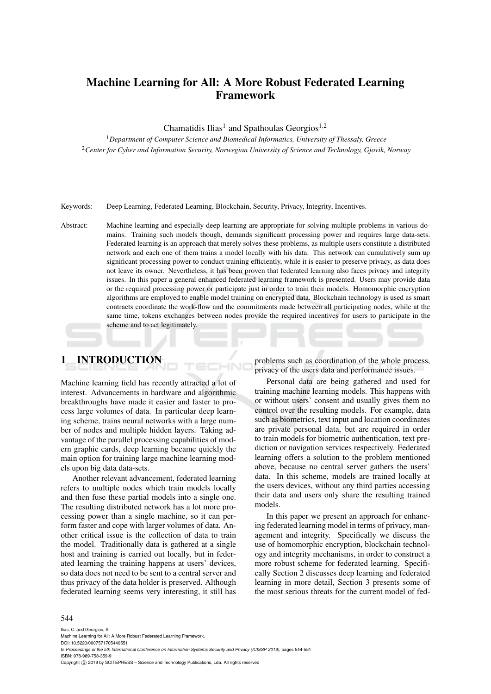# Machine Learning for All: A More Robust Federated Learning Framework

Chamatidis Ilias<sup>1</sup> and Spathoulas Georgios<sup>1,2</sup>

<sup>1</sup>*Department of Computer Science and Biomedical Informatics, University of Thessaly, Greece* <sup>2</sup>*Center for Cyber and Information Security, Norwegian University of Science and Technology, Gjovik, Norway*

Keywords: Deep Learning, Federated Learning, Blockchain, Security, Privacy, Integrity, Incentives.

Abstract: Machine learning and especially deep learning are appropriate for solving multiple problems in various domains. Training such models though, demands significant processing power and requires large data-sets. Federated learning is an approach that merely solves these problems, as multiple users constitute a distributed network and each one of them trains a model locally with his data. This network can cumulatively sum up significant processing power to conduct training efficiently, while it is easier to preserve privacy, as data does not leave its owner. Nevertheless, it has been proven that federated learning also faces privacy and integrity issues. In this paper a general enhanced federated learning framework is presented. Users may provide data or the required processing power or participate just in order to train their models. Homomorphic encryption algorithms are employed to enable model training on encrypted data. Blockchain technology is used as smart contracts coordinate the work-flow and the commitments made between all participating nodes, while at the same time, tokens exchanges between nodes provide the required incentives for users to participate in the scheme and to act legitimately.

## 1 INTRODUCTION

Machine learning field has recently attracted a lot of interest. Advancements in hardware and algorithmic breakthroughs have made it easier and faster to process large volumes of data. In particular deep learning scheme, trains neural networks with a large number of nodes and multiple hidden layers. Taking advantage of the parallel processing capabilities of modern graphic cards, deep learning became quickly the main option for training large machine learning models upon big data data-sets.

Another relevant advancement, federated learning refers to multiple nodes which train models locally and then fuse these partial models into a single one. The resulting distributed network has a lot more processing power than a single machine, so it can perform faster and cope with larger volumes of data. Another critical issue is the collection of data to train the model. Traditionally data is gathered at a single host and training is carried out locally, but in federated learning the training happens at users' devices, so data does not need to be sent to a central server and thus privacy of the data holder is preserved. Although federated learning seems very interesting, it still has

problems such as coordination of the whole process, privacy of the users data and performance issues.

Personal data are being gathered and used for training machine learning models. This happens with or without users' consent and usually gives them no control over the resulting models. For example, data such as biometrics, text input and location coordinates are private personal data, but are required in order to train models for biometric authentication, text prediction or navigation services respectively. Federated learning offers a solution to the problem mentioned above, because no central server gathers the users' data. In this scheme, models are trained locally at the users devices, without any third parties accessing their data and users only share the resulting trained models.

In this paper we present an approach for enhancing federated learning model in terms of privacy, management and integrity. Specifically we discuss the use of homomorphic encryption, blockchain technology and integrity mechanisms, in order to construct a more robust scheme for federated learning. Specifically Section 2 discusses deep learning and federated learning in more detail, Section 3 presents some of the most serious threats for the current model of fed-

#### 544

Ilias, C. and Georgios, S. Machine Learning for All: A More Robust Federated Learning Framework. DOI: 10.5220/0007571705440551 In *Proceedings of the 5th International Conference on Information Systems Security and Privacy (ICISSP 2019)*, pages 544-551 ISBN: 978-989-758-359-9 Copyright © 2019 by SCITEPRESS - Science and Technology Publications, Lda. All rights reserved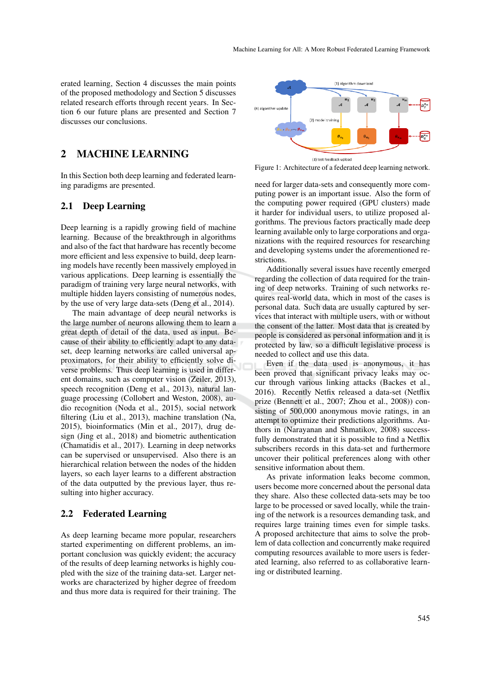erated learning, Section 4 discusses the main points of the proposed methodology and Section 5 discusses related research efforts through recent years. In Section 6 our future plans are presented and Section 7 discusses our conclusions.

## 2 MACHINE LEARNING

In this Section both deep learning and federated learning paradigms are presented.

### 2.1 Deep Learning

Deep learning is a rapidly growing field of machine learning. Because of the breakthrough in algorithms and also of the fact that hardware has recently become more efficient and less expensive to build, deep learning models have recently been massively employed in various applications. Deep learning is essentially the paradigm of training very large neural networks, with multiple hidden layers consisting of numerous nodes, by the use of very large data-sets (Deng et al., 2014).

The main advantage of deep neural networks is the large number of neurons allowing them to learn a great depth of detail of the data, used as input. Because of their ability to efficiently adapt to any dataset, deep learning networks are called universal approximators, for their ability to efficiently solve diverse problems. Thus deep learning is used in different domains, such as computer vision (Zeiler, 2013), speech recognition (Deng et al., 2013), natural language processing (Collobert and Weston, 2008), audio recognition (Noda et al., 2015), social network filtering (Liu et al., 2013), machine translation (Na, 2015), bioinformatics (Min et al., 2017), drug design (Jing et al., 2018) and biometric authentication (Chamatidis et al., 2017). Learning in deep networks can be supervised or unsupervised. Also there is an hierarchical relation between the nodes of the hidden layers, so each layer learns to a different abstraction of the data outputted by the previous layer, thus resulting into higher accuracy.

#### 2.2 Federated Learning

As deep learning became more popular, researchers started experimenting on different problems, an important conclusion was quickly evident; the accuracy of the results of deep learning networks is highly coupled with the size of the training data-set. Larger networks are characterized by higher degree of freedom and thus more data is required for their training. The



Figure 1: Architecture of a federated deep learning network.

need for larger data-sets and consequently more computing power is an important issue. Also the form of the computing power required (GPU clusters) made it harder for individual users, to utilize proposed algorithms. The previous factors practically made deep learning available only to large corporations and organizations with the required resources for researching and developing systems under the aforementioned restrictions.

Additionally several issues have recently emerged regarding the collection of data required for the training of deep networks. Training of such networks requires real-world data, which in most of the cases is personal data. Such data are usually captured by services that interact with multiple users, with or without the consent of the latter. Most data that is created by people is considered as personal information and it is protected by law, so a difficult legislative process is needed to collect and use this data.

Even if the data used is anonymous, it has been proved that significant privacy leaks may occur through various linking attacks (Backes et al., 2016). Recently Netfix released a data-set (Netflix prize (Bennett et al., 2007; Zhou et al., 2008)) consisting of 500,000 anonymous movie ratings, in an attempt to optimize their predictions algorithms. Authors in (Narayanan and Shmatikov, 2008) successfully demonstrated that it is possible to find a Netflix subscribers records in this data-set and furthermore uncover their political preferences along with other sensitive information about them.

As private information leaks become common, users become more concerned about the personal data they share. Also these collected data-sets may be too large to be processed or saved locally, while the training of the network is a resources demanding task, and requires large training times even for simple tasks. A proposed architecture that aims to solve the problem of data collection and concurrently make required computing resources available to more users is federated learning, also referred to as collaborative learning or distributed learning.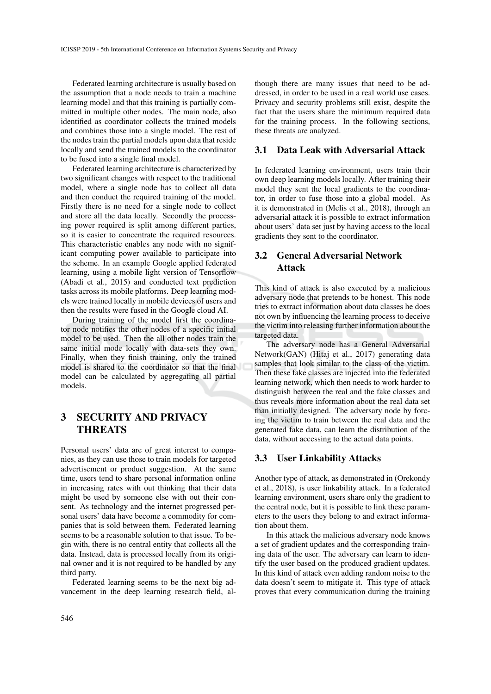Federated learning architecture is usually based on the assumption that a node needs to train a machine learning model and that this training is partially committed in multiple other nodes. The main node, also identified as coordinator collects the trained models and combines those into a single model. The rest of the nodes train the partial models upon data that reside locally and send the trained models to the coordinator to be fused into a single final model.

Federated learning architecture is characterized by two significant changes with respect to the traditional model, where a single node has to collect all data and then conduct the required training of the model. Firstly there is no need for a single node to collect and store all the data locally. Secondly the processing power required is split among different parties, so it is easier to concentrate the required resources. This characteristic enables any node with no significant computing power available to participate into the scheme. In an example Google applied federated learning, using a mobile light version of Tensorflow (Abadi et al., 2015) and conducted text prediction tasks across its mobile platforms. Deep learning models were trained locally in mobile devices of users and then the results were fused in the Google cloud AI.

During training of the model first the coordinator node notifies the other nodes of a specific initial model to be used. Then the all other nodes train the same initial mode locally with data-sets they own. Finally, when they finish training, only the trained model is shared to the coordinator so that the final model can be calculated by aggregating all partial models.

# 3 SECURITY AND PRIVACY **THREATS**

Personal users' data are of great interest to companies, as they can use those to train models for targeted advertisement or product suggestion. At the same time, users tend to share personal information online in increasing rates with out thinking that their data might be used by someone else with out their consent. As technology and the internet progressed personal users' data have become a commodity for companies that is sold between them. Federated learning seems to be a reasonable solution to that issue. To begin with, there is no central entity that collects all the data. Instead, data is processed locally from its original owner and it is not required to be handled by any third party.

Federated learning seems to be the next big advancement in the deep learning research field, al-

though there are many issues that need to be addressed, in order to be used in a real world use cases. Privacy and security problems still exist, despite the fact that the users share the minimum required data for the training process. In the following sections, these threats are analyzed.

### 3.1 Data Leak with Adversarial Attack

In federated learning environment, users train their own deep learning models locally. After training their model they sent the local gradients to the coordinator, in order to fuse those into a global model. As it is demonstrated in (Melis et al., 2018), through an adversarial attack it is possible to extract information about users' data set just by having access to the local gradients they sent to the coordinator.

### 3.2 General Adversarial Network Attack

This kind of attack is also executed by a malicious adversary node that pretends to be honest. This node tries to extract information about data classes he does not own by influencing the learning process to deceive the victim into releasing further information about the targeted data.

The adversary node has a General Adversarial Network(GAN) (Hitaj et al., 2017) generating data samples that look similar to the class of the victim. Then these fake classes are injected into the federated learning network, which then needs to work harder to distinguish between the real and the fake classes and thus reveals more information about the real data set than initially designed. The adversary node by forcing the victim to train between the real data and the generated fake data, can learn the distribution of the data, without accessing to the actual data points.

### 3.3 User Linkability Attacks

Another type of attack, as demonstrated in (Orekondy et al., 2018), is user linkability attack. In a federated learning environment, users share only the gradient to the central node, but it is possible to link these parameters to the users they belong to and extract information about them.

In this attack the malicious adversary node knows a set of gradient updates and the corresponding training data of the user. The adversary can learn to identify the user based on the produced gradient updates. In this kind of attack even adding random noise to the data doesn't seem to mitigate it. This type of attack proves that every communication during the training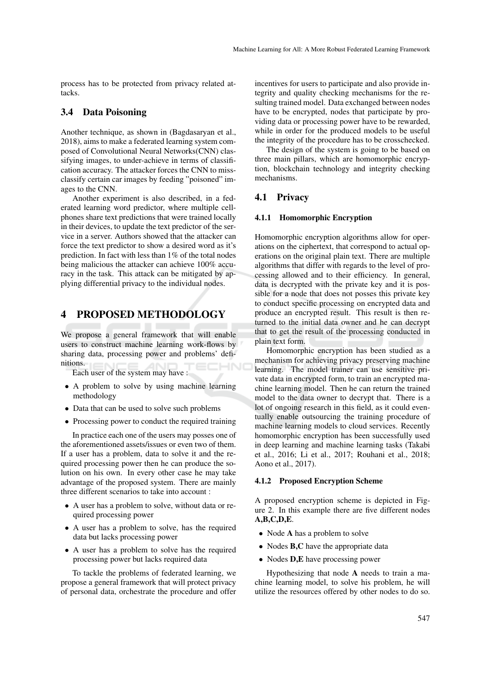process has to be protected from privacy related attacks.

### 3.4 Data Poisoning

Another technique, as shown in (Bagdasaryan et al., 2018), aims to make a federated learning system composed of Convolutional Neural Networks(CNN) classifying images, to under-achieve in terms of classification accuracy. The attacker forces the CNN to missclassify certain car images by feeding "poisoned" images to the CNN.

Another experiment is also described, in a federated learning word predictor, where multiple cellphones share text predictions that were trained locally in their devices, to update the text predictor of the service in a server. Authors showed that the attacker can force the text predictor to show a desired word as it's prediction. In fact with less than 1% of the total nodes being malicious the attacker can achieve 100% accuracy in the task. This attack can be mitigated by applying differential privacy to the individual nodes.

### 4 PROPOSED METHODOLOGY

We propose a general framework that will enable users to construct machine learning work-flows by sharing data, processing power and problems' definitions.

Each user of the system may have :

- A problem to solve by using machine learning methodology
- Data that can be used to solve such problems
- Processing power to conduct the required training

In practice each one of the users may posses one of the aforementioned assets/issues or even two of them. If a user has a problem, data to solve it and the required processing power then he can produce the solution on his own. In every other case he may take advantage of the proposed system. There are mainly three different scenarios to take into account :

- A user has a problem to solve, without data or required processing power
- A user has a problem to solve, has the required data but lacks processing power
- A user has a problem to solve has the required processing power but lacks required data

To tackle the problems of federated learning, we propose a general framework that will protect privacy of personal data, orchestrate the procedure and offer

incentives for users to participate and also provide integrity and quality checking mechanisms for the resulting trained model. Data exchanged between nodes have to be encrypted, nodes that participate by providing data or processing power have to be rewarded, while in order for the produced models to be useful the integrity of the procedure has to be crosschecked.

The design of the system is going to be based on three main pillars, which are homomorphic encryption, blockchain technology and integrity checking mechanisms.

#### 4.1 Privacy

#### 4.1.1 Homomorphic Encryption

Homomorphic encryption algorithms allow for operations on the ciphertext, that correspond to actual operations on the original plain text. There are multiple algorithms that differ with regards to the level of processing allowed and to their efficiency. In general, data is decrypted with the private key and it is possible for a node that does not posses this private key to conduct specific processing on encrypted data and produce an encrypted result. This result is then returned to the initial data owner and he can decrypt that to get the result of the processing conducted in plain text form.

Homomorphic encryption has been studied as a mechanism for achieving privacy preserving machine learning. The model trainer can use sensitive private data in encrypted form, to train an encrypted machine learning model. Then he can return the trained model to the data owner to decrypt that. There is a lot of ongoing research in this field, as it could eventually enable outsourcing the training procedure of machine learning models to cloud services. Recently homomorphic encryption has been successfully used in deep learning and machine learning tasks (Takabi et al., 2016; Li et al., 2017; Rouhani et al., 2018; Aono et al., 2017).

#### 4.1.2 Proposed Encryption Scheme

A proposed encryption scheme is depicted in Figure 2. In this example there are five different nodes A,B,C,D,E.

- Node **A** has a problem to solve
- Nodes **B,C** have the appropriate data
- Nodes **D,E** have processing power

Hypothesizing that node A needs to train a machine learning model, to solve his problem, he will utilize the resources offered by other nodes to do so.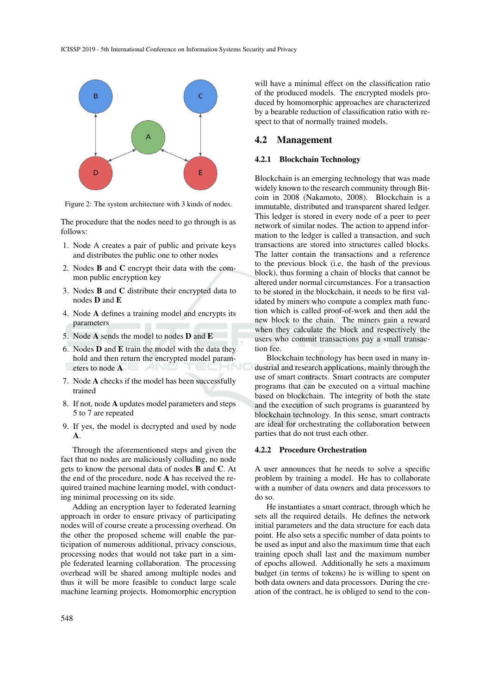

Figure 2: The system architecture with 3 kinds of nodes.

The procedure that the nodes need to go through is as follows:

- 1. Node A creates a pair of public and private keys and distributes the public one to other nodes
- 2. Nodes B and C encrypt their data with the common public encryption key
- 3. Nodes B and C distribute their encrypted data to nodes D and E
- 4. Node A defines a training model and encrypts its parameters
- 5. Node A sends the model to nodes D and E
- 6. Nodes D and E train the model with the data they hold and then return the encrypted model parameters to node A
- 7. Node A checks if the model has been successfully trained
- 8. If not, node A updates model parameters and steps 5 to 7 are repeated
- 9. If yes, the model is decrypted and used by node A.

Through the aforementioned steps and given the fact that no nodes are maliciously colluding, no node gets to know the personal data of nodes B and C. At the end of the procedure, node A has received the required trained machine learning model, with conducting minimal processing on its side.

Adding an encryption layer to federated learning approach in order to ensure privacy of participating nodes will of course create a processing overhead. On the other the proposed scheme will enable the participation of numerous additional, privacy conscious, processing nodes that would not take part in a simple federated learning collaboration. The processing overhead will be shared among multiple nodes and thus it will be more feasible to conduct large scale machine learning projects. Homomorphic encryption

will have a minimal effect on the classification ratio of the produced models. The encrypted models produced by homomorphic approaches are characterized by a bearable reduction of classification ratio with respect to that of normally trained models.

#### 4.2 Management

#### 4.2.1 Blockchain Technology

Blockchain is an emerging technology that was made widely known to the research community through Bitcoin in 2008 (Nakamoto, 2008). Blockchain is a immutable, distributed and transparent shared ledger. This ledger is stored in every node of a peer to peer network of similar nodes. The action to append information to the ledger is called a transaction, and such transactions are stored into structures called blocks. The latter contain the transactions and a reference to the previous block (i.e, the hash of the previous block), thus forming a chain of blocks that cannot be altered under normal circumstances. For a transaction to be stored in the blockchain, it needs to be first validated by miners who compute a complex math function which is called proof-of-work and then add the new block to the chain. The miners gain a reward when they calculate the block and respectively the users who commit transactions pay a small transaction fee.

Blockchain technology has been used in many industrial and research applications, mainly through the use of smart contracts. Smart contracts are computer programs that can be executed on a virtual machine based on blockchain. The integrity of both the state and the execution of such programs is guaranteed by blockchain technology. In this sense, smart contracts are ideal for orchestrating the collaboration between parties that do not trust each other.

#### 4.2.2 Procedure Orchestration

A user announces that he needs to solve a specific problem by training a model. He has to collaborate with a number of data owners and data processors to do so.

He instantiates a smart contract, through which he sets all the required details. He defines the network initial parameters and the data structure for each data point. He also sets a specific number of data points to be used as input and also the maximum time that each training epoch shall last and the maximum number of epochs allowed. Additionally he sets a maximum budget (in terms of tokens) he is willing to spent on both data owners and data processors. During the creation of the contract, he is obliged to send to the con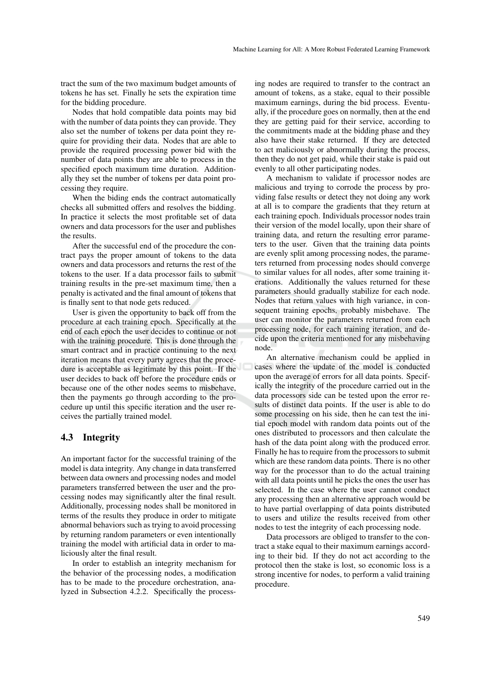tract the sum of the two maximum budget amounts of tokens he has set. Finally he sets the expiration time for the bidding procedure.

Nodes that hold compatible data points may bid with the number of data points they can provide. They also set the number of tokens per data point they require for providing their data. Nodes that are able to provide the required processing power bid with the number of data points they are able to process in the specified epoch maximum time duration. Additionally they set the number of tokens per data point processing they require.

When the biding ends the contract automatically checks all submitted offers and resolves the bidding. In practice it selects the most profitable set of data owners and data processors for the user and publishes the results.

After the successful end of the procedure the contract pays the proper amount of tokens to the data owners and data processors and returns the rest of the tokens to the user. If a data processor fails to submit training results in the pre-set maximum time, then a penalty is activated and the final amount of tokens that is finally sent to that node gets reduced.

User is given the opportunity to back off from the procedure at each training epoch. Specifically at the end of each epoch the user decides to continue or not with the training procedure. This is done through the smart contract and in practice continuing to the next iteration means that every party agrees that the procedure is acceptable as legitimate by this point. If the user decides to back off before the procedure ends or because one of the other nodes seems to misbehave, then the payments go through according to the procedure up until this specific iteration and the user receives the partially trained model.

### 4.3 Integrity

An important factor for the successful training of the model is data integrity. Any change in data transferred between data owners and processing nodes and model parameters transferred between the user and the processing nodes may significantly alter the final result. Additionally, processing nodes shall be monitored in terms of the results they produce in order to mitigate abnormal behaviors such as trying to avoid processing by returning random parameters or even intentionally training the model with artificial data in order to maliciously alter the final result.

In order to establish an integrity mechanism for the behavior of the processing nodes, a modification has to be made to the procedure orchestration, analyzed in Subsection 4.2.2. Specifically the process-

ing nodes are required to transfer to the contract an amount of tokens, as a stake, equal to their possible maximum earnings, during the bid process. Eventually, if the procedure goes on normally, then at the end they are getting paid for their service, according to the commitments made at the bidding phase and they also have their stake returned. If they are detected to act maliciously or abnormally during the process, then they do not get paid, while their stake is paid out evenly to all other participating nodes.

A mechanism to validate if processor nodes are malicious and trying to corrode the process by providing false results or detect they not doing any work at all is to compare the gradients that they return at each training epoch. Individuals processor nodes train their version of the model locally, upon their share of training data, and return the resulting error parameters to the user. Given that the training data points are evenly split among processing nodes, the parameters returned from processing nodes should converge to similar values for all nodes, after some training iterations. Additionally the values returned for these parameters should gradually stabilize for each node. Nodes that return values with high variance, in consequent training epochs, probably misbehave. The user can monitor the parameters returned from each processing node, for each training iteration, and decide upon the criteria mentioned for any misbehaving node.

An alternative mechanism could be applied in cases where the update of the model is conducted upon the average of errors for all data points. Specifically the integrity of the procedure carried out in the data processors side can be tested upon the error results of distinct data points. If the user is able to do some processing on his side, then he can test the initial epoch model with random data points out of the ones distributed to processors and then calculate the hash of the data point along with the produced error. Finally he has to require from the processors to submit which are these random data points. There is no other way for the processor than to do the actual training with all data points until he picks the ones the user has selected. In the case where the user cannot conduct any processing then an alternative approach would be to have partial overlapping of data points distributed to users and utilize the results received from other nodes to test the integrity of each processing node.

Data processors are obliged to transfer to the contract a stake equal to their maximum earnings according to their bid. If they do not act according to the protocol then the stake is lost, so economic loss is a strong incentive for nodes, to perform a valid training procedure.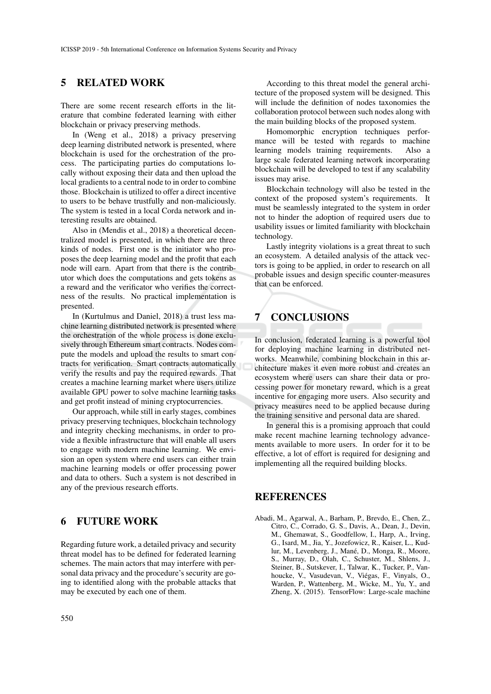## 5 RELATED WORK

There are some recent research efforts in the literature that combine federated learning with either blockchain or privacy preserving methods.

In (Weng et al., 2018) a privacy preserving deep learning distributed network is presented, where blockchain is used for the orchestration of the process. The participating parties do computations locally without exposing their data and then upload the local gradients to a central node to in order to combine those. Blockchain is utilized to offer a direct incentive to users to be behave trustfully and non-maliciously. The system is tested in a local Corda network and interesting results are obtained.

Also in (Mendis et al., 2018) a theoretical decentralized model is presented, in which there are three kinds of nodes. First one is the initiator who proposes the deep learning model and the profit that each node will earn. Apart from that there is the contributor which does the computations and gets tokens as a reward and the verificator who verifies the correctness of the results. No practical implementation is presented.

In (Kurtulmus and Daniel, 2018) a trust less machine learning distributed network is presented where the orchestration of the whole process is done exclusively through Ethereum smart contracts. Nodes compute the models and upload the results to smart contracts for verification. Smart contracts automatically verify the results and pay the required rewards. That creates a machine learning market where users utilize available GPU power to solve machine learning tasks and get profit instead of mining cryptocurrencies.

Our approach, while still in early stages, combines privacy preserving techniques, blockchain technology and integrity checking mechanisms, in order to provide a flexible infrastructure that will enable all users to engage with modern machine learning. We envision an open system where end users can either train machine learning models or offer processing power and data to others. Such a system is not described in any of the previous research efforts.

## 6 FUTURE WORK

Regarding future work, a detailed privacy and security threat model has to be defined for federated learning schemes. The main actors that may interfere with personal data privacy and the procedure's security are going to identified along with the probable attacks that may be executed by each one of them.

According to this threat model the general architecture of the proposed system will be designed. This will include the definition of nodes taxonomies the collaboration protocol between such nodes along with the main building blocks of the proposed system.

Homomorphic encryption techniques performance will be tested with regards to machine learning models training requirements. Also a large scale federated learning network incorporating blockchain will be developed to test if any scalability issues may arise.

Blockchain technology will also be tested in the context of the proposed system's requirements. It must be seamlessly integrated to the system in order not to hinder the adoption of required users due to usability issues or limited familiarity with blockchain technology.

Lastly integrity violations is a great threat to such an ecosystem. A detailed analysis of the attack vectors is going to be applied, in order to research on all probable issues and design specific counter-measures that can be enforced.

# 7 CONCLUSIONS

In conclusion, federated learning is a powerful tool for deploying machine learning in distributed networks. Meanwhile, combining blockchain in this architecture makes it even more robust and creates an ecosystem where users can share their data or processing power for monetary reward, which is a great incentive for engaging more users. Also security and privacy measures need to be applied because during the training sensitive and personal data are shared.

In general this is a promising approach that could make recent machine learning technology advancements available to more users. In order for it to be effective, a lot of effort is required for designing and implementing all the required building blocks.

### REFERENCES

Abadi, M., Agarwal, A., Barham, P., Brevdo, E., Chen, Z., Citro, C., Corrado, G. S., Davis, A., Dean, J., Devin, M., Ghemawat, S., Goodfellow, I., Harp, A., Irving, G., Isard, M., Jia, Y., Jozefowicz, R., Kaiser, L., Kudlur, M., Levenberg, J., Mané, D., Monga, R., Moore, S., Murray, D., Olah, C., Schuster, M., Shlens, J., Steiner, B., Sutskever, I., Talwar, K., Tucker, P., Vanhoucke, V., Vasudevan, V., Viegas, F., Vinyals, O., ´ Warden, P., Wattenberg, M., Wicke, M., Yu, Y., and Zheng, X. (2015). TensorFlow: Large-scale machine